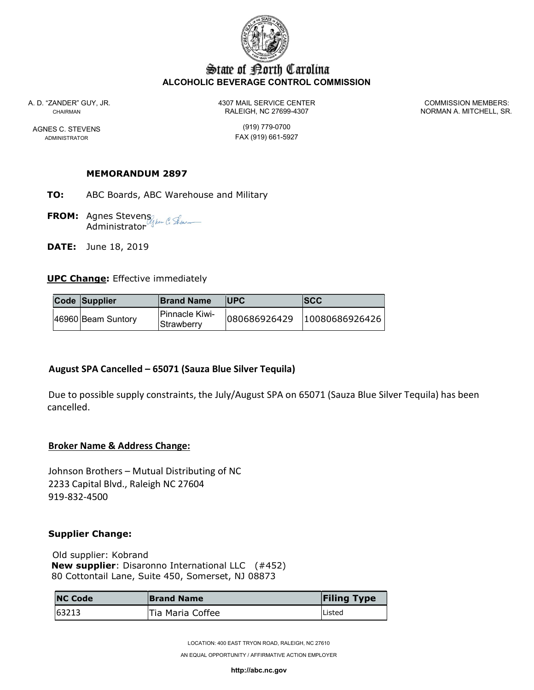

# State of Borth Carolina ALCOHOLIC BEVERAGE CONTROL COMMISSION

A. D. "ZANDER" GUY, JR. 4307 MAIL SERVICE CENTER COMMISSION MEMBERS: CHAIRMAN RALEIGH, NC 27699-4307 NORMAN A. MITCHELL, SR.

AGNES C. STEVENS (919) 779-0700 ADMINISTRATOR **FAX** (919) 661-5927

### MEMORANDUM 2897

- TO: ABC Boards, ABC Warehouse and Military
- **FROM:** Agnes Stevens Administrator
- **DATE:** June 18, 2019

### UPC Change: Effective immediately

| Code Supplier      | <b>Brand Name</b>                           | <b>IUPC</b> | SCC                         |
|--------------------|---------------------------------------------|-------------|-----------------------------|
| 46960 Beam Suntory | <b>IPinnacle Kiwi-</b><br><b>Strawberry</b> |             | 080686926429 10080686926426 |

# August SPA Cancelled – 65071 (Sauza Blue Silver Tequila)

Due to possible supply constraints, the July/August SPA on 65071 (Sauza Blue Silver Tequila) has been cancelled.

#### Broker Name & Address Change:

Johnson Brothers – Mutual Distributing of NC 2233 Capital Blvd., Raleigh NC 27604 919-832-4500

#### Supplier Change:

 Old supplier: Kobrand New supplier: Disaronno International LLC (#452) 80 Cottontail Lane, Suite 450, Somerset, NJ 08873

| <b>NC Code</b> | <b>Brand Name</b> | <b>Filing Type</b> |
|----------------|-------------------|--------------------|
| 63213          | Tia Maria Coffee  | <b>Listed</b>      |

LOCATION: 400 EAST TRYON ROAD, RALEIGH, NC 27610

AN EQUAL OPPORTUNITY / AFFIRMATIVE ACTION EMPLOYER

http://abc.nc.gov